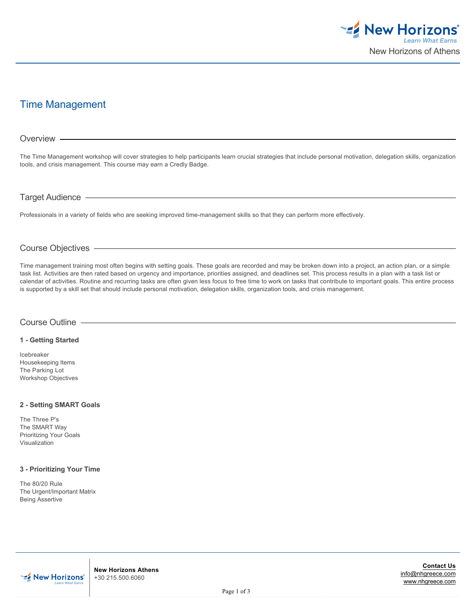

# Time Management

# The Time Management workshop will cover strategies to help participants learn crucial strategies that include personal motivation, delegation skills, organization tools, and crisis management. This course may earn a Credly Badge. Professionals in a variety of fields who are seeking improved time-management skills so that they can perform more effectively. Overview Target Audience

# Course Objectives

Time management training most often begins with setting goals. These goals are recorded and may be broken down into a project, an action plan, or a simple task list. Activities are then rated based on urgency and importance, priorities assigned, and deadlines set. This process results in a plan with a task list or calendar of activities. Routine and recurring tasks are often given less focus to free time to work on tasks that contribute to important goals. This entire process is supported by a skill set that should include personal motivation, delegation skills, organization tools, and crisis management.

#### Course Outline

#### **1 - Getting Started**

Icebreaker Housekeeping Items The Parking Lot Workshop Objectives

#### **2 - Setting SMART Goals**

The Three P's The SMART Way Prioritizing Your Goals Visualization

#### **3 - Prioritizing Your Time**

The 80/20 Rule The Urgent/Important Matrix Being Assertive

**EZ** New Horizons'

**New Horizons Athens** +30 215.500.6060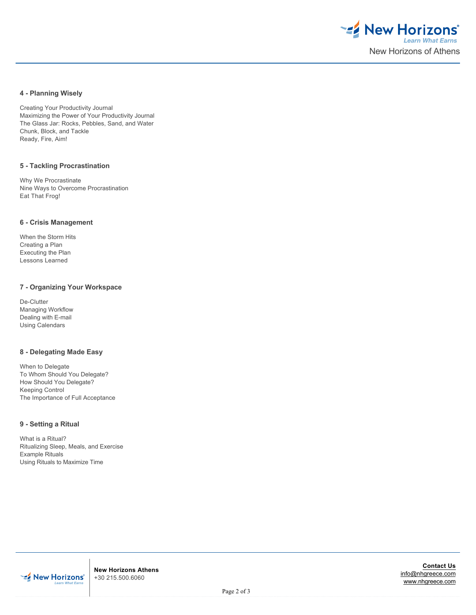

## **4 - Planning Wisely**

Creating Your Productivity Journal Maximizing the Power of Your Productivity Journal The Glass Jar: Rocks, Pebbles, Sand, and Water Chunk, Block, and Tackle Ready, Fire, Aim!

#### **5 - Tackling Procrastination**

Why We Procrastinate Nine Ways to Overcome Procrastination Eat That Frog!

#### **6 - Crisis Management**

When the Storm Hits Creating a Plan Executing the Plan Lessons Learned

#### **7 - Organizing Your Workspace**

De-Clutter Managing Workflow Dealing with E-mail Using Calendars

## **8 - Delegating Made Easy**

When to Delegate To Whom Should You Delegate? How Should You Delegate? Keeping Control The Importance of Full Acceptance

#### **9 - Setting a Ritual**

What is a Ritual? Ritualizing Sleep, Meals, and Exercise Example Rituals Using Rituals to Maximize Time



**New Horizons Athens** +30 215.500.6060